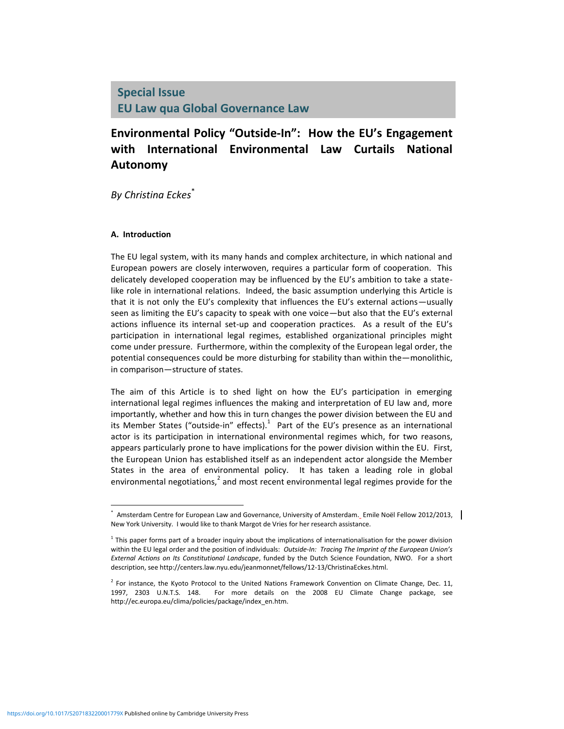# **Environmental Policy "Outside-In": How the EU's Engagement with International Environmental Law Curtails National Autonomy**

*By Christina Eckes* \*

### **A. Introduction**

The EU legal system, with its many hands and complex architecture, in which national and European powers are closely interwoven, requires a particular form of cooperation. This delicately developed cooperation may be influenced by the EU's ambition to take a statelike role in international relations. Indeed, the basic assumption underlying this Article is that it is not only the EU's complexity that influences the EU's external actions—usually seen as limiting the EU's capacity to speak with one voice—but also that the EU's external actions influence its internal set-up and cooperation practices. As a result of the EU's participation in international legal regimes, established organizational principles might come under pressure. Furthermore, within the complexity of the European legal order, the potential consequences could be more disturbing for stability than within the—monolithic, in comparison—structure of states.

The aim of this Article is to shed light on how the EU's participation in emerging international legal regimes influences the making and interpretation of EU law and, more importantly, whether and how this in turn changes the power division between the EU and its Member States ("outside-in" effects). $^1$  Part of the EU's presence as an international actor is its participation in international environmental regimes which, for two reasons, appears particularly prone to have implications for the power division within the EU. First, the European Union has established itself as an independent actor alongside the Member States in the area of environmental policy. It has taken a leading role in global environmental negotiations,<sup>2</sup> and most recent environmental legal regimes provide for the

<sup>\*</sup> Amsterdam Centre for European Law and Governance, University of Amsterdam. Emile Noël Fellow 2012/2013, | New York University. I would like to thank Margot de Vries for her research assistance.

<sup>&</sup>lt;sup>1</sup> This paper forms part of a broader inquiry about the implications of internationalisation for the power division within the EU legal order and the position of individuals: *Outside-In: Tracing The Imprint of the European Union's External Actions on Its Constitutional Landscape*, funded by the Dutch Science Foundation, NWO. For a short description, see http://centers.law.nyu.edu/jeanmonnet/fellows/12-13/ChristinaEckes.html.

<sup>&</sup>lt;sup>2</sup> For instance, the Kyoto Protocol to the United Nations Framework Convention on Climate Change, Dec. 11, 1997, 2303 U.N.T.S. 148. For more details on the 2008 EU Climate Change package, see http://ec.europa.eu/clima/policies/package/index\_en.htm.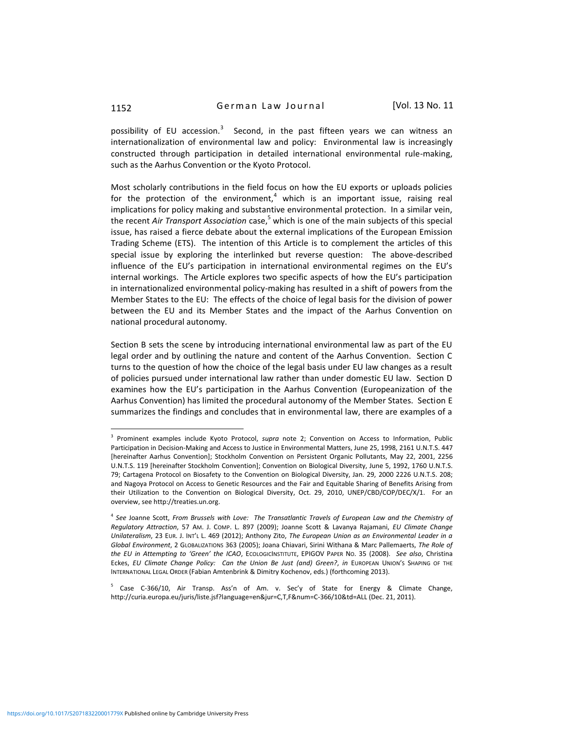possibility of EU accession.<sup>3</sup> Second, in the past fifteen years we can witness an internationalization of environmental law and policy: Environmental law is increasingly constructed through participation in detailed international environmental rule-making, such as the Aarhus Convention or the Kyoto Protocol.

Most scholarly contributions in the field focus on how the EU exports or uploads policies for the protection of the environment,<sup>4</sup> which is an important issue, raising real implications for policy making and substantive environmental protection. In a similar vein, the recent *Air Transport Association* case, <sup>5</sup> which is one of the main subjects of this special issue, has raised a fierce debate about the external implications of the European Emission Trading Scheme (ETS). The intention of this Article is to complement the articles of this special issue by exploring the interlinked but reverse question: The above-described influence of the EU's participation in international environmental regimes on the EU's internal workings. The Article explores two specific aspects of how the EU's participation in internationalized environmental policy-making has resulted in a shift of powers from the Member States to the EU: The effects of the choice of legal basis for the division of power between the EU and its Member States and the impact of the Aarhus Convention on national procedural autonomy.

Section B sets the scene by introducing international environmental law as part of the EU legal order and by outlining the nature and content of the Aarhus Convention. Section C turns to the question of how the choice of the legal basis under EU law changes as a result of policies pursued under international law rather than under domestic EU law. Section D examines how the EU's participation in the Aarhus Convention (Europeanization of the Aarhus Convention) has limited the procedural autonomy of the Member States. Section E summarizes the findings and concludes that in environmental law, there are examples of a

<sup>3</sup> Prominent examples include Kyoto Protocol, *supra* note 2; Convention on Access to Information, Public Participation in Decision-Making and Access to Justice in Environmental Matters, June 25, 1998, 2161 U.N.T.S. 447 [hereinafter Aarhus Convention]; Stockholm Convention on Persistent Organic Pollutants, May 22, 2001, 2256 U.N.T.S. 119 [hereinafter Stockholm Convention]; Convention on Biological Diversity, June 5, 1992, 1760 U.N.T.S. 79; Cartagena Protocol on Biosafety to the Convention on Biological Diversity, Jan. 29, 2000 2226 U.N.T.S. 208; and Nagoya Protocol on Access to Genetic Resources and the Fair and Equitable Sharing of Benefits Arising from their Utilization to the Convention on Biological Diversity, Oct. 29, 2010, UNEP/CBD/COP/DEC/X/1. For an overview, see http://treaties.un.org.

<sup>4</sup> *See* Joanne Scott, *From Brussels with Love: The Transatlantic Travels of European Law and the Chemistry of Regulatory Attraction*, 57 AM. J. COMP. L. 897 (2009); Joanne Scott & Lavanya Rajamani, *EU Climate Change Unilateralism*, 23 EUR. J. INT'L L. 469 (2012); Anthony Zito, *The European Union as an Environmental Leader in a Global Environment*, 2 GLOBALIZATIONS 363 (2005); Joana Chiavari, Sirini Withana & Marc Pallemaerts, *The Role of the EU in Attempting to 'Green' the ICAO*, ECOLOGICINSTITUTE, EPIGOV PAPER NO. 35 (2008).*See also*, Christina Eckes, *EU Climate Change Policy: Can the Union Be Just (and) Green?*, *in* EUROPEAN UNION'S SHAPING OF THE INTERNATIONAL LEGAL ORDER (Fabian Amtenbrink & Dimitry Kochenov, eds.) (forthcoming 2013).

<sup>&</sup>lt;sup>5</sup> Case C-366/10, Air Transp. Ass'n of Am. v. Sec'y of State for Energy & Climate Change, http://curia.europa.eu/juris/liste.jsf?language=en&jur=C,T,F&num=C-366/10&td=ALL (Dec. 21, 2011).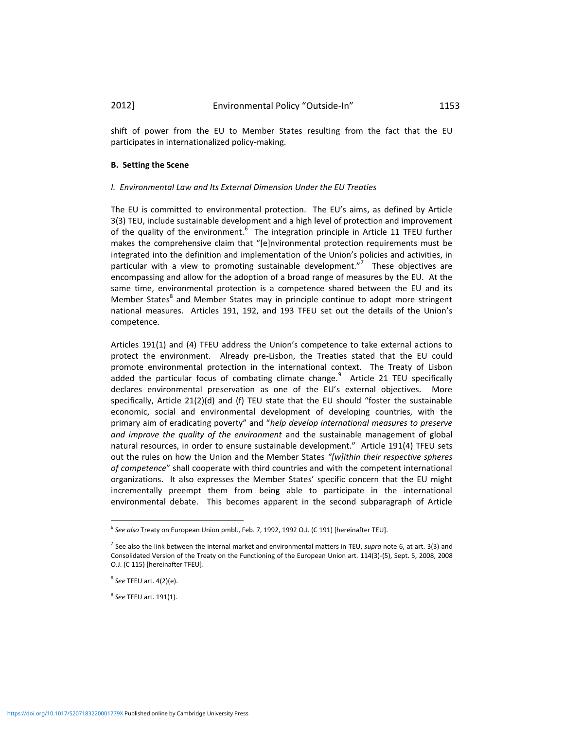shift of power from the EU to Member States resulting from the fact that the EU participates in internationalized policy-making.

#### **B. Setting the Scene**

#### *I. Environmental Law and Its External Dimension Under the EU Treaties*

The EU is committed to environmental protection. The EU's aims, as defined by Article 3(3) TEU, include sustainable development and a high level of protection and improvement of the quality of the environment.<sup>6</sup> The integration principle in Article 11 TFEU further makes the comprehensive claim that "[e]nvironmental protection requirements must be integrated into the definition and implementation of the Union's policies and activities, in particular with a view to promoting sustainable development."<sup>7</sup> These objectives are encompassing and allow for the adoption of a broad range of measures by the EU. At the same time, environmental protection is a competence shared between the EU and its Member States<sup>8</sup> and Member States may in principle continue to adopt more stringent national measures. Articles 191, 192, and 193 TFEU set out the details of the Union's competence.

Articles 191(1) and (4) TFEU address the Union's competence to take external actions to protect the environment. Already pre-Lisbon, the Treaties stated that the EU could promote environmental protection in the international context. The Treaty of Lisbon added the particular focus of combating climate change.<sup>9</sup> Article 21 TEU specifically declares environmental preservation as one of the EU's external objectives. More specifically, Article 21(2)(d) and (f) TEU state that the EU should "foster the sustainable economic, social and environmental development of developing countries, with the primary aim of eradicating poverty" and "*help develop international measures to preserve and improve the quality of the environment* and the sustainable management of global natural resources, in order to ensure sustainable development." Article 191(4) TFEU sets out the rules on how the Union and the Member States *"[w]ithin their respective spheres of competence*" shall cooperate with third countries and with the competent international organizations. It also expresses the Member States' specific concern that the EU might incrementally preempt them from being able to participate in the international environmental debate. This becomes apparent in the second subparagraph of Article

l

9 *See* TFEU art. 191(1).

<sup>6</sup> *See also* Treaty on European Union pmbl., Feb. 7, 1992, 1992 O.J. (C 191) [hereinafter TEU].

<sup>7</sup> See also the link between the internal market and environmental matters in TEU, *supra* note 6, at art. 3(3) and Consolidated Version of the Treaty on the Functioning of the European Union art. 114(3)-(5), Sept. 5, 2008, 2008 O.J. (C 115) [hereinafter TFEU].

<sup>8</sup> *See* TFEU art. 4(2)(e).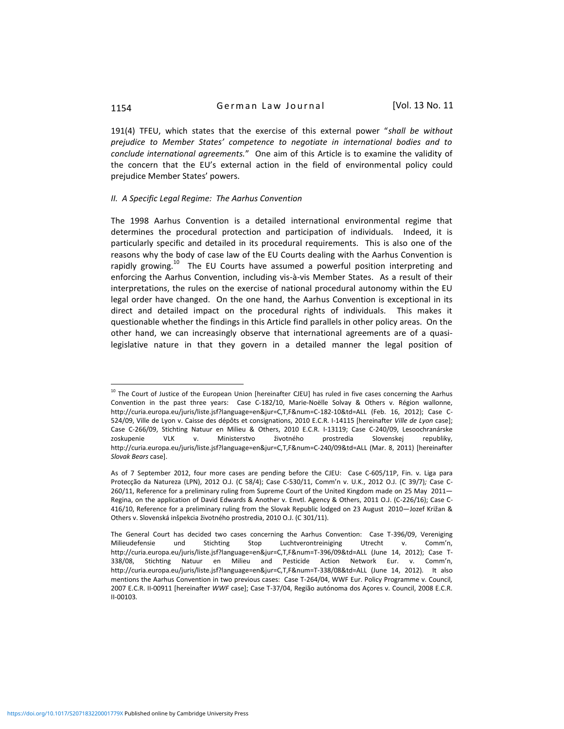191(4) TFEU, which states that the exercise of this external power "*shall be without prejudice to Member States' competence to negotiate in international bodies and to conclude international agreements.*" One aim of this Article is to examine the validity of the concern that the EU's external action in the field of environmental policy could prejudice Member States' powers.

#### *II. A Specific Legal Regime: The Aarhus Convention*

The 1998 Aarhus Convention is a detailed international environmental regime that determines the procedural protection and participation of individuals. Indeed, it is particularly specific and detailed in its procedural requirements. This is also one of the reasons why the body of case law of the EU Courts dealing with the Aarhus Convention is rapidly growing.<sup>10</sup> The EU Courts have assumed a powerful position interpreting and enforcing the Aarhus Convention, including vis-à-vis Member States. As a result of their interpretations, the rules on the exercise of national procedural autonomy within the EU legal order have changed. On the one hand, the Aarhus Convention is exceptional in its direct and detailed impact on the procedural rights of individuals. This makes it questionable whether the findings in this Article find parallels in other policy areas. On the other hand, we can increasingly observe that international agreements are of a quasilegislative nature in that they govern in a detailed manner the legal position of

<sup>&</sup>lt;sup>10</sup> The Court of Justice of the European Union [hereinafter CJEU] has ruled in five cases concerning the Aarhus Convention in the past three years: Case C-182/10, Marie-Noëlle Solvay & Others v. Région wallonne, http://curia.europa.eu/juris/liste.jsf?language=en&jur=C,T,F&num=C-182-10&td=ALL (Feb. 16, 2012); Case C-524/09, Ville de Lyon v. Caisse des dépôts et consignations, 2010 E.C.R. I-14115 [hereinafter *Ville de Lyon* case]; Case C-266/09, Stichting Natuur en Milieu & Others, 2010 E.C.R. I-13119; Case C-240/09, Lesoochranárske zoskupenie VLK v. Ministerstvo životného prostredia Slovenskej republiky, http://curia.europa.eu/juris/liste.jsf?language=en&jur=C,T,F&num=C-240/09&td=ALL (Mar. 8, 2011) [hereinafter *Slovak Bears* case].

As of 7 September 2012, four more cases are pending before the CJEU: Case C-605/11P, Fin. v. Liga para Protecção da Natureza (LPN), 2012 O.J. (C 58/4); Case C-530/11, Comm'n v. U.K., 2012 O.J. (C 39/7)*;* Case C-260/11, Reference for a preliminary ruling from Supreme Court of the United Kingdom made on 25 May 2011— Regina, on the application of David Edwards & Another v. Envtl. Agency & Others, 2011 O.J. (C-226/16); Case C-416/10, Reference for a preliminary ruling from the Slovak Republic lodged on 23 August 2010—Jozef Križan & Others v. Slovenská inšpekcia životného prostredia, 2010 O.J. (C 301/11).

The General Court has decided two cases concerning the Aarhus Convention: Case T-396/09, Vereniging Milieudefensie und Stichting Stop Luchtverontreiniging Utrecht v. Comm'n, http://curia.europa.eu/juris/liste.jsf?language=en&jur=C,T,F&num=T-396/09&td=ALL (June 14, 2012); Case T-338/08, Stichting Natuur en Milieu and Pesticide Action Network Eur. v. Comm'n, http://curia.europa.eu/juris/liste.jsf?language=en&jur=C,T,F&num=T-338/08&td=ALL (June 14, 2012)*.* It also mentions the Aarhus Convention in two previous cases: Case T-264/04, WWF Eur. Policy Programme v. Council*,*  2007 E.C.R. II-00911 [hereinafter *WWF* case]; Case T-37/04, Região autónoma dos Açores v. Council, 2008 E.C.R. II-00103*.*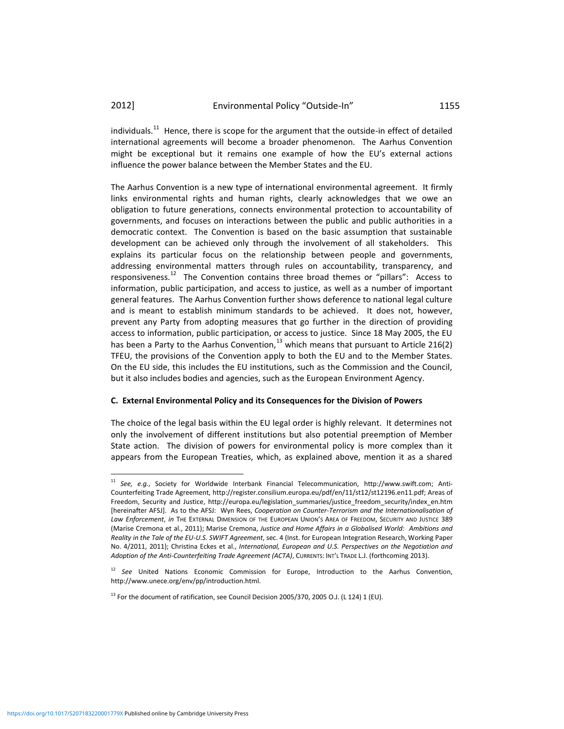individuals.<sup>11</sup> Hence, there is scope for the argument that the outside-in effect of detailed international agreements will become a broader phenomenon. The Aarhus Convention might be exceptional but it remains one example of how the EU's external actions influence the power balance between the Member States and the EU.

The Aarhus Convention is a new type of international environmental agreement. It firmly links environmental rights and human rights, clearly acknowledges that we owe an obligation to future generations, connects environmental protection to accountability of governments, and focuses on interactions between the public and public authorities in a democratic context. The Convention is based on the basic assumption that sustainable development can be achieved only through the involvement of all stakeholders. This explains its particular focus on the relationship between people and governments, addressing environmental matters through rules on accountability, transparency, and responsiveness.<sup>12</sup> The Convention contains three broad themes or "pillars": Access to information, public participation, and access to justice, as well as a number of important general features. The Aarhus Convention further shows deference to national legal culture and is meant to establish minimum standards to be achieved. It does not, however, prevent any Party from adopting measures that go further in the direction of providing access to information, public participation, or access to justice. Since 18 May 2005, the EU has been a Party to the Aarhus Convention, $^{13}$  which means that pursuant to Article 216(2) TFEU, the provisions of the Convention apply to both the EU and to the Member States. On the EU side, this includes the EU institutions, such as the Commission and the Council, but it also includes bodies and agencies, such as the European Environment Agency.

#### **C. External Environmental Policy and its Consequences for the Division of Powers**

The choice of the legal basis within the EU legal order is highly relevant. It determines not only the involvement of different institutions but also potential preemption of Member State action. The division of powers for environmental policy is more complex than it appears from the European Treaties, which, as explained above, mention it as a shared

<sup>11</sup> *See, e.g.*, Society for Worldwide Interbank Financial Telecommunication, http://www.swift.com; Anti-Counterfeiting Trade Agreement, http://register.consilium.europa.eu/pdf/en/11/st12/st12196.en11.pdf; Areas of Freedom, Security and Justice, http://europa.eu/legislation\_summaries/justice\_freedom\_security/index\_en.htm [hereinafter AFSJ]. As to the AFSJ: Wyn Rees, *Cooperation on Counter-Terrorism and the Internationalisation of Law Enforcement*, *in* THE EXTERNAL DIMENSION OF THE EUROPEAN UNION'S AREA OF FREEDOM, SECURITY AND JUSTICE 389 (Marise Cremona et al., 2011); Marise Cremona, *Justice and Home Affairs in a Globalised World: Ambitions and Reality in the Tale of the EU-U.S. SWIFT Agreement*, sec. 4 (Inst. for European Integration Research, Working Paper No. 4/2011, 2011); Christina Eckes et al., *International, European and U.S. Perspectives on the Negotiation and Adoption of the Anti-Counterfeiting Trade Agreement (ACTA)*, CURRENTS: INT'L TRADE L.J. (forthcoming 2013).

<sup>12</sup> *See* United Nations Economic Commission for Europe, Introduction to the Aarhus Convention, http://www.unece.org/env/pp/introduction.html.

 $^{13}$  For the document of ratification, see Council Decision 2005/370, 2005 O.J. (L 124) 1 (EU).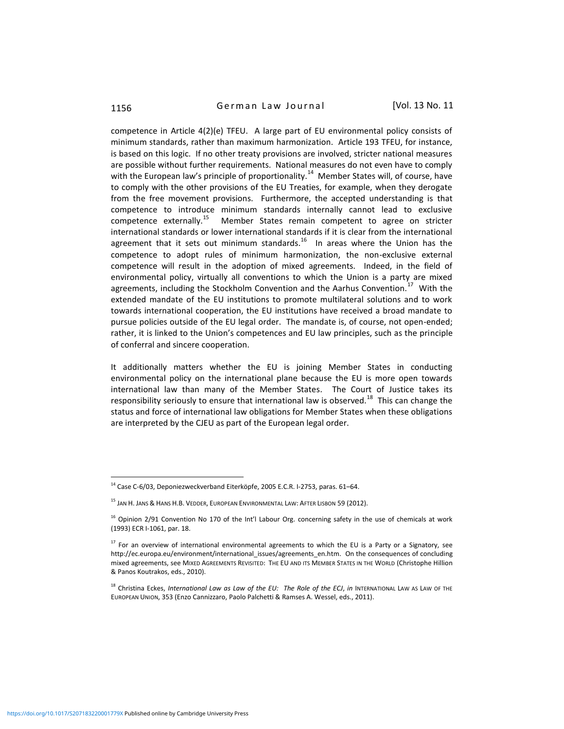1156 **German Law Journal** [Vol. 13 No. 11

competence in Article 4(2)(e) TFEU. A large part of EU environmental policy consists of minimum standards, rather than maximum harmonization. Article 193 TFEU, for instance, is based on this logic. If no other treaty provisions are involved, stricter national measures are possible without further requirements. National measures do not even have to comply with the European law's principle of proportionality.<sup>14</sup> Member States will, of course, have to comply with the other provisions of the EU Treaties, for example, when they derogate from the free movement provisions. Furthermore, the accepted understanding is that competence to introduce minimum standards internally cannot lead to exclusive competence externally.<sup>15</sup> Member States remain competent to agree on stricter international standards or lower international standards if it is clear from the international agreement that it sets out minimum standards.<sup>16</sup> In areas where the Union has the competence to adopt rules of minimum harmonization, the non-exclusive external competence will result in the adoption of mixed agreements. Indeed, in the field of environmental policy, virtually all conventions to which the Union is a party are mixed agreements, including the Stockholm Convention and the Aarhus Convention.<sup>17</sup> With the extended mandate of the EU institutions to promote multilateral solutions and to work towards international cooperation, the EU institutions have received a broad mandate to pursue policies outside of the EU legal order. The mandate is, of course, not open-ended; rather, it is linked to the Union's competences and EU law principles, such as the principle of conferral and sincere cooperation.

It additionally matters whether the EU is joining Member States in conducting environmental policy on the international plane because the EU is more open towards international law than many of the Member States. The Court of Justice takes its responsibility seriously to ensure that international law is observed.<sup>18</sup> This can change the status and force of international law obligations for Member States when these obligations are interpreted by the CJEU as part of the European legal order.

 $14$  Case C-6/03, Deponiezweckverband Eiterköpfe, 2005 E.C.R. I-2753, paras. 61–64.

<sup>&</sup>lt;sup>15</sup> Jan H. Jans & Hans H.B. Vedder, European Environmental Law: After Lisbon 59 (2012).

<sup>&</sup>lt;sup>16</sup> Opinion 2/91 Convention No 170 of the Int'l Labour Org. concerning safety in the use of chemicals at work (1993) ECR I-1061, par. 18.

 $17$  For an overview of international environmental agreements to which the EU is a Party or a Signatory, see http://ec.europa.eu/environment/international\_issues/agreements\_en.htm. On the consequences of concluding mixed agreements, see MIXED AGREEMENTS REVISITED: THE EU AND ITS MEMBER STATES IN THE WORLD (Christophe Hillion & Panos Koutrakos, eds., 2010).

<sup>18</sup> Christina Eckes, *International Law as Law of the EU: The Role of the ECJ, in INTERNATIONAL LAW AS LAW OF THE* EUROPEAN UNION, 353 (Enzo Cannizzaro, Paolo Palchetti & Ramses A. Wessel, eds., 2011).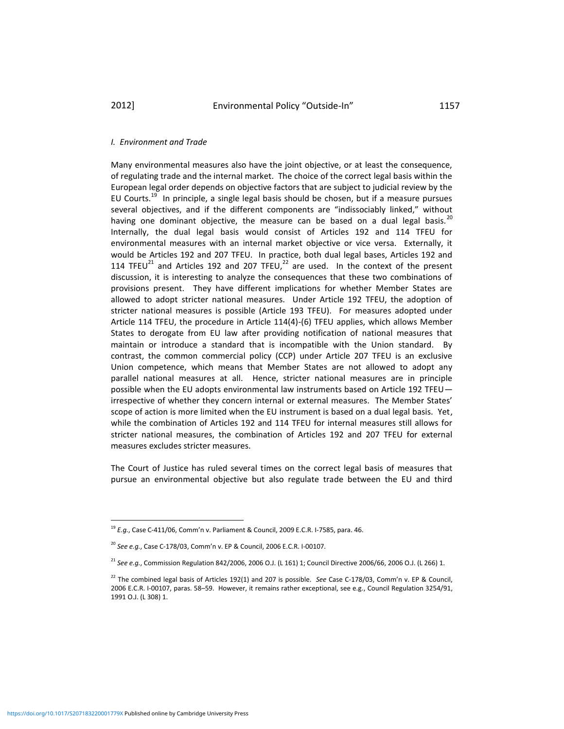#### *I. Environment and Trade*

Many environmental measures also have the joint objective, or at least the consequence, of regulating trade and the internal market. The choice of the correct legal basis within the European legal order depends on objective factors that are subject to judicial review by the EU Courts.<sup>19</sup> In principle, a single legal basis should be chosen, but if a measure pursues several objectives, and if the different components are "indissociably linked," without having one dominant objective, the measure can be based on a dual legal basis.<sup>20</sup> Internally, the dual legal basis would consist of Articles 192 and 114 TFEU for environmental measures with an internal market objective or vice versa. Externally, it would be Articles 192 and 207 TFEU. In practice, both dual legal bases, Articles 192 and 114 TFEU<sup>21</sup> and Articles 192 and 207 TFEU,<sup>22</sup> are used. In the context of the present discussion, it is interesting to analyze the consequences that these two combinations of provisions present. They have different implications for whether Member States are allowed to adopt stricter national measures. Under Article 192 TFEU, the adoption of stricter national measures is possible (Article 193 TFEU). For measures adopted under Article 114 TFEU, the procedure in Article 114(4)-(6) TFEU applies, which allows Member States to derogate from EU law after providing notification of national measures that maintain or introduce a standard that is incompatible with the Union standard. By contrast, the common commercial policy (CCP) under Article 207 TFEU is an exclusive Union competence, which means that Member States are not allowed to adopt any parallel national measures at all. Hence, stricter national measures are in principle possible when the EU adopts environmental law instruments based on Article 192 TFEU irrespective of whether they concern internal or external measures. The Member States' scope of action is more limited when the EU instrument is based on a dual legal basis. Yet, while the combination of Articles 192 and 114 TFEU for internal measures still allows for stricter national measures, the combination of Articles 192 and 207 TFEU for external measures excludes stricter measures.

The Court of Justice has ruled several times on the correct legal basis of measures that pursue an environmental objective but also regulate trade between the EU and third

<sup>19</sup> *E.g.*, Case C-411/06, Comm'n v. Parliament & Council, 2009 E.C.R. I-7585, para. 46.

<sup>20</sup> *See e.g.*, Case C-178/03, Comm'n v. EP & Council, 2006 E.C.R. I-00107.

<sup>21</sup> *See e.g.*, Commission Regulation 842/2006, 2006 O.J. (L 161) 1; Council Directive 2006/66, 2006 O.J. (L 266) 1.

<sup>22</sup> The combined legal basis of Articles 192(1) and 207 is possible. *See* Case C-178/03, Comm'n v. EP & Council, 2006 E.C.R. I-00107, paras. 58–59. However, it remains rather exceptional, see e.g., Council Regulation 3254/91, 1991 O.J. (L 308) 1.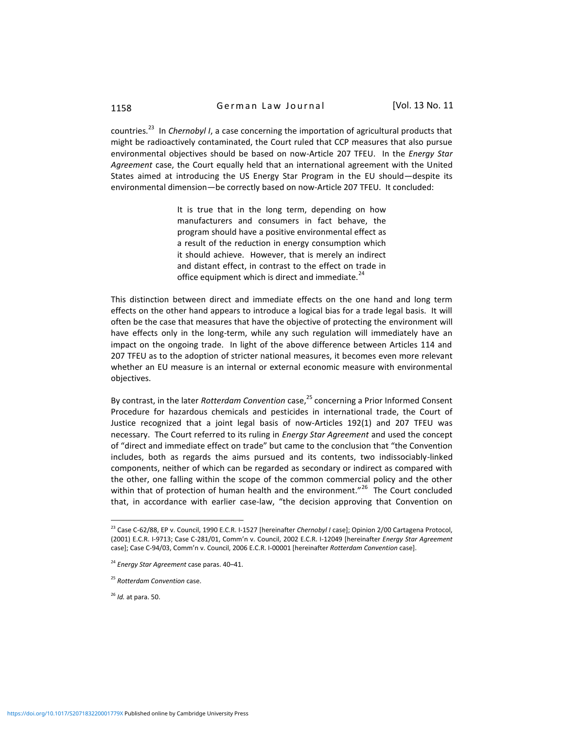countries.<sup>23</sup> In *Chernobyl I*, a case concerning the importation of agricultural products that might be radioactively contaminated, the Court ruled that CCP measures that also pursue environmental objectives should be based on now-Article 207 TFEU. In the *Energy Star Agreement* case, the Court equally held that an international agreement with the United States aimed at introducing the US Energy Star Program in the EU should—despite its environmental dimension—be correctly based on now-Article 207 TFEU. It concluded:

> It is true that in the long term, depending on how manufacturers and consumers in fact behave, the program should have a positive environmental effect as a result of the reduction in energy consumption which it should achieve. However, that is merely an indirect and distant effect, in contrast to the effect on trade in office equipment which is direct and immediate.<sup>24</sup>

This distinction between direct and immediate effects on the one hand and long term effects on the other hand appears to introduce a logical bias for a trade legal basis. It will often be the case that measures that have the objective of protecting the environment will have effects only in the long-term, while any such regulation will immediately have an impact on the ongoing trade. In light of the above difference between Articles 114 and 207 TFEU as to the adoption of stricter national measures, it becomes even more relevant whether an EU measure is an internal or external economic measure with environmental objectives.

By contrast, in the later *Rotterdam Convention* case, <sup>25</sup> concerning a Prior Informed Consent Procedure for hazardous chemicals and pesticides in international trade, the Court of Justice recognized that a joint legal basis of now-Articles 192(1) and 207 TFEU was necessary. The Court referred to its ruling in *Energy Star Agreement* and used the concept of "direct and immediate effect on trade" but came to the conclusion that "the Convention includes, both as regards the aims pursued and its contents, two indissociably-linked components, neither of which can be regarded as secondary or indirect as compared with the other, one falling within the scope of the common commercial policy and the other within that of protection of human health and the environment."<sup>26</sup> The Court concluded that, in accordance with earlier case-law, "the decision approving that Convention on

<sup>26</sup> *Id.* at para. 50.

<sup>23</sup> Case C-62/88, EP v. Council, 1990 E.C.R. I-1527 [hereinafter *Chernobyl I* case]; Opinion 2/00 Cartagena Protocol, (2001) E.C.R. I-9713; Case C-281/01, Comm'n v. Council, 2002 E.C.R. I-12049 [hereinafter *Energy Star Agreement* case]; Case C-94/03, Comm'n v. Council, 2006 E.C.R. I-00001 [hereinafter *Rotterdam Convention* case].

<sup>24</sup> *Energy Star Agreement* case paras. 40–41.

<sup>25</sup> *Rotterdam Convention* case.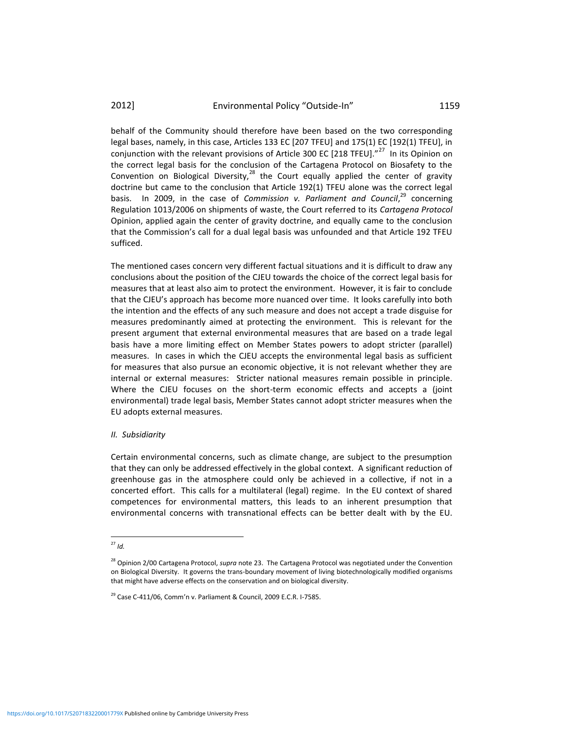behalf of the Community should therefore have been based on the two corresponding legal bases, namely, in this case, Articles 133 EC [207 TFEU] and 175(1) EC [192(1) TFEU], in conjunction with the relevant provisions of Article 300 EC [218 TFEU]. $^{27}$  In its Opinion on the correct legal basis for the conclusion of the Cartagena Protocol on Biosafety to the Convention on Biological Diversity, $^{28}$  the Court equally applied the center of gravity doctrine but came to the conclusion that Article 192(1) TFEU alone was the correct legal basis. In 2009, in the case of *Commission v. Parliament and Council*,<sup>29</sup> concerning Regulation 1013/2006 on shipments of waste, the Court referred to its *Cartagena Protocol*  Opinion, applied again the center of gravity doctrine, and equally came to the conclusion that the Commission's call for a dual legal basis was unfounded and that Article 192 TFEU sufficed.

The mentioned cases concern very different factual situations and it is difficult to draw any conclusions about the position of the CJEU towards the choice of the correct legal basis for measures that at least also aim to protect the environment. However, it is fair to conclude that the CJEU's approach has become more nuanced over time. It looks carefully into both the intention and the effects of any such measure and does not accept a trade disguise for measures predominantly aimed at protecting the environment. This is relevant for the present argument that external environmental measures that are based on a trade legal basis have a more limiting effect on Member States powers to adopt stricter (parallel) measures. In cases in which the CJEU accepts the environmental legal basis as sufficient for measures that also pursue an economic objective, it is not relevant whether they are internal or external measures: Stricter national measures remain possible in principle. Where the CJEU focuses on the short-term economic effects and accepts a (joint environmental) trade legal basis, Member States cannot adopt stricter measures when the EU adopts external measures.

#### *II. Subsidiarity*

Certain environmental concerns, such as climate change, are subject to the presumption that they can only be addressed effectively in the global context. A significant reduction of greenhouse gas in the atmosphere could only be achieved in a collective, if not in a concerted effort. This calls for a multilateral (legal) regime. In the EU context of shared competences for environmental matters, this leads to an inherent presumption that environmental concerns with transnational effects can be better dealt with by the EU.

l  $^{27}$  *Id.* 

<sup>28</sup> Opinion 2/00 Cartagena Protocol, *supra* note 23. The Cartagena Protocol was negotiated under the Convention on Biological Diversity. It governs the trans-boundary movement of living biotechnologically modified organisms that might have adverse effects on the conservation and on biological diversity.

 $29$  Case C-411/06, Comm'n v. Parliament & Council, 2009 E.C.R. I-7585.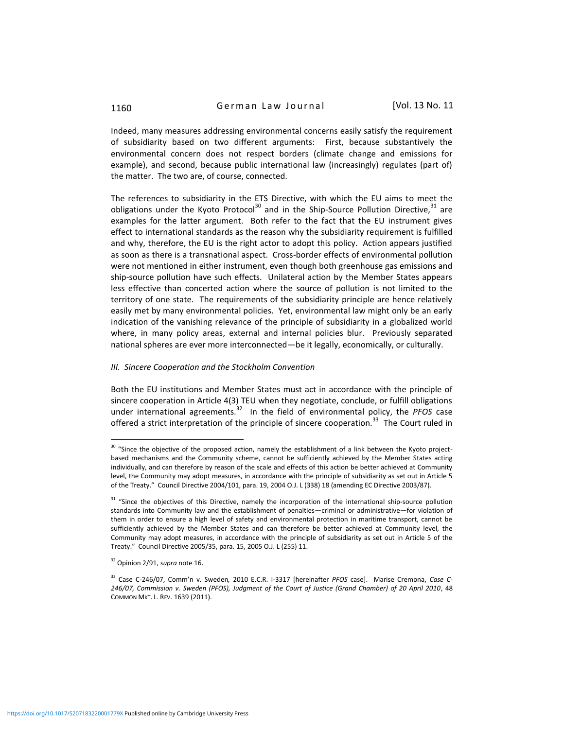Indeed, many measures addressing environmental concerns easily satisfy the requirement of subsidiarity based on two different arguments: First, because substantively the environmental concern does not respect borders (climate change and emissions for example), and second, because public international law (increasingly) regulates (part of) the matter. The two are, of course, connected.

The references to subsidiarity in the ETS Directive, with which the EU aims to meet the obligations under the Kyoto Protocol<sup>30</sup> and in the Ship-Source Pollution Directive,  $31$  are examples for the latter argument. Both refer to the fact that the EU instrument gives effect to international standards as the reason why the subsidiarity requirement is fulfilled and why, therefore, the EU is the right actor to adopt this policy. Action appears justified as soon as there is a transnational aspect. Cross-border effects of environmental pollution were not mentioned in either instrument, even though both greenhouse gas emissions and ship-source pollution have such effects. Unilateral action by the Member States appears less effective than concerted action where the source of pollution is not limited to the territory of one state. The requirements of the subsidiarity principle are hence relatively easily met by many environmental policies. Yet, environmental law might only be an early indication of the vanishing relevance of the principle of subsidiarity in a globalized world where, in many policy areas, external and internal policies blur. Previously separated national spheres are ever more interconnected—be it legally, economically, or culturally.

#### *III. Sincere Cooperation and the Stockholm Convention*

Both the EU institutions and Member States must act in accordance with the principle of sincere cooperation in Article 4(3) TEU when they negotiate, conclude, or fulfill obligations under international agreements.<sup>32</sup> In the field of environmental policy, the PFOS case offered a strict interpretation of the principle of sincere cooperation.<sup>33</sup> The Court ruled in

<sup>&</sup>lt;sup>30</sup> "Since the objective of the proposed action, namely the establishment of a link between the Kyoto projectbased mechanisms and the Community scheme, cannot be sufficiently achieved by the Member States acting individually, and can therefore by reason of the scale and effects of this action be better achieved at Community level, the Community may adopt measures, in accordance with the principle of subsidiarity as set out in Article 5 of the Treaty." Council Directive 2004/101, para. 19, 2004 O.J. L (338) 18 (amending EC Directive 2003/87).

<sup>&</sup>lt;sup>31</sup> "Since the objectives of this Directive, namely the incorporation of the international ship-source pollution standards into Community law and the establishment of penalties—criminal or administrative—for violation of them in order to ensure a high level of safety and environmental protection in maritime transport, cannot be sufficiently achieved by the Member States and can therefore be better achieved at Community level, the Community may adopt measures, in accordance with the principle of subsidiarity as set out in Article 5 of the Treaty." Council Directive 2005/35, para. 15, 2005 O.J. L (255) 11.

<sup>32</sup> Opinion 2/91, *supra* note 16.

<sup>33</sup> Case C-246/07, Comm'n v. Sweden*,* 2010 E.C.R. I-3317 [hereinafter *PFOS* case]. Marise Cremona, *Case C-246/07, Commission v. Sweden (PFOS), Judgment of the Court of Justice (Grand Chamber) of 20 April 2010*, 48 COMMON MKT. L. REV. 1639 (2011).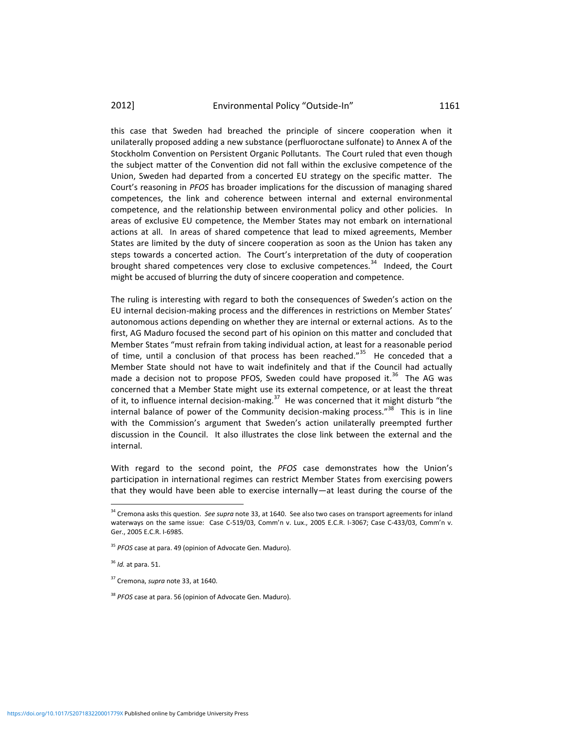this case that Sweden had breached the principle of sincere cooperation when it unilaterally proposed adding a new substance (perfluoroctane sulfonate) to Annex A of the Stockholm Convention on Persistent Organic Pollutants. The Court ruled that even though the subject matter of the Convention did not fall within the exclusive competence of the Union, Sweden had departed from a concerted EU strategy on the specific matter. The Court's reasoning in *PFOS* has broader implications for the discussion of managing shared competences, the link and coherence between internal and external environmental competence, and the relationship between environmental policy and other policies. In areas of exclusive EU competence, the Member States may not embark on international actions at all. In areas of shared competence that lead to mixed agreements, Member States are limited by the duty of sincere cooperation as soon as the Union has taken any steps towards a concerted action. The Court's interpretation of the duty of cooperation brought shared competences very close to exclusive competences.<sup>34</sup> Indeed, the Court might be accused of blurring the duty of sincere cooperation and competence.

The ruling is interesting with regard to both the consequences of Sweden's action on the EU internal decision-making process and the differences in restrictions on Member States' autonomous actions depending on whether they are internal or external actions. As to the first, AG Maduro focused the second part of his opinion on this matter and concluded that Member States "must refrain from taking individual action, at least for a reasonable period of time, until a conclusion of that process has been reached."<sup>35</sup> He conceded that a Member State should not have to wait indefinitely and that if the Council had actually made a decision not to propose PFOS, Sweden could have proposed it.<sup>36</sup> The AG was concerned that a Member State might use its external competence, or at least the threat of it, to influence internal decision-making.<sup>37</sup> He was concerned that it might disturb "the internal balance of power of the Community decision-making process."<sup>38</sup> This is in line with the Commission's argument that Sweden's action unilaterally preempted further discussion in the Council. It also illustrates the close link between the external and the internal.

With regard to the second point, the *PFOS* case demonstrates how the Union's participation in international regimes can restrict Member States from exercising powers that they would have been able to exercise internally—at least during the course of the

<sup>34</sup> Cremona asks this question. *See supra* note 33, at 1640. See also two cases on transport agreements for inland waterways on the same issue: Case C-519/03, Comm'n v. Lux., 2005 E.C.R. I-3067; Case C-433/03, Comm'n v. Ger., 2005 E.C.R. I-6985.

<sup>35</sup> *PFOS* case at para. 49 (opinion of Advocate Gen. Maduro).

<sup>36</sup> *Id.* at para. 51.

<sup>37</sup> Cremona, *supra* note 33, at 1640.

<sup>38</sup> *PFOS* case at para. 56 (opinion of Advocate Gen. Maduro).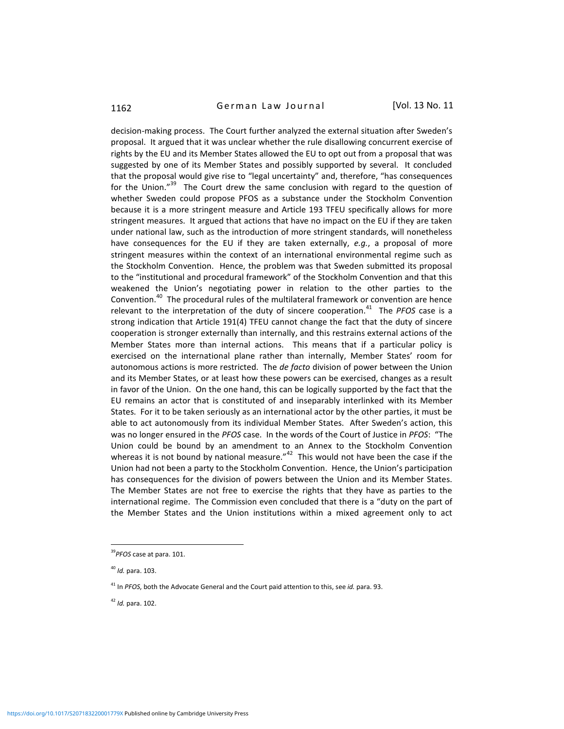# 1162 **German Law Journal** [Vol. 13 No. 11

decision-making process. The Court further analyzed the external situation after Sweden's proposal. It argued that it was unclear whether the rule disallowing concurrent exercise of rights by the EU and its Member States allowed the EU to opt out from a proposal that was suggested by one of its Member States and possibly supported by several. It concluded that the proposal would give rise to "legal uncertainty" and, therefore, "has consequences for the Union."<sup>39</sup> The Court drew the same conclusion with regard to the question of whether Sweden could propose PFOS as a substance under the Stockholm Convention because it is a more stringent measure and Article 193 TFEU specifically allows for more stringent measures. It argued that actions that have no impact on the EU if they are taken under national law, such as the introduction of more stringent standards, will nonetheless have consequences for the EU if they are taken externally, *e.g.*, a proposal of more stringent measures within the context of an international environmental regime such as the Stockholm Convention. Hence, the problem was that Sweden submitted its proposal to the "institutional and procedural framework" of the Stockholm Convention and that this weakened the Union's negotiating power in relation to the other parties to the Convention.<sup>40</sup> The procedural rules of the multilateral framework or convention are hence relevant to the interpretation of the duty of sincere cooperation.<sup>41</sup> The PFOS case is a strong indication that Article 191(4) TFEU cannot change the fact that the duty of sincere cooperation is stronger externally than internally, and this restrains external actions of the Member States more than internal actions. This means that if a particular policy is exercised on the international plane rather than internally, Member States' room for autonomous actions is more restricted. The *de facto* division of power between the Union and its Member States, or at least how these powers can be exercised, changes as a result in favor of the Union. On the one hand, this can be logically supported by the fact that the EU remains an actor that is constituted of and inseparably interlinked with its Member States. For it to be taken seriously as an international actor by the other parties, it must be able to act autonomously from its individual Member States. After Sweden's action, this was no longer ensured in the *PFOS* case. In the words of the Court of Justice in *PFOS*: "The Union could be bound by an amendment to an Annex to the Stockholm Convention whereas it is not bound by national measure." $42$  This would not have been the case if the Union had not been a party to the Stockholm Convention. Hence, the Union's participation has consequences for the division of powers between the Union and its Member States. The Member States are not free to exercise the rights that they have as parties to the international regime. The Commission even concluded that there is a "duty on the part of the Member States and the Union institutions within a mixed agreement only to act

<sup>39</sup>*PFOS* case at para. 101.

<sup>40</sup> *Id.* para. 103.

<sup>41</sup> In *PFOS*, both the Advocate General and the Court paid attention to this, see *id.* para. 93.

<sup>42</sup> *Id.* para. 102.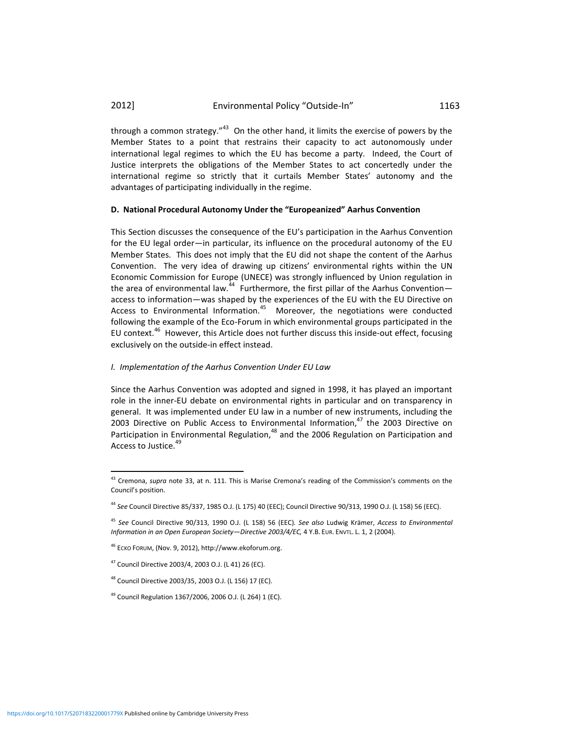through a common strategy."<sup>43</sup> On the other hand, it limits the exercise of powers by the Member States to a point that restrains their capacity to act autonomously under international legal regimes to which the EU has become a party. Indeed, the Court of Justice interprets the obligations of the Member States to act concertedly under the international regime so strictly that it curtails Member States' autonomy and the advantages of participating individually in the regime.

#### **D. National Procedural Autonomy Under the "Europeanized" Aarhus Convention**

This Section discusses the consequence of the EU's participation in the Aarhus Convention for the EU legal order—in particular, its influence on the procedural autonomy of the EU Member States. This does not imply that the EU did not shape the content of the Aarhus Convention. The very idea of drawing up citizens' environmental rights within the UN Economic Commission for Europe (UNECE) was strongly influenced by Union regulation in the area of environmental law.<sup>44</sup> Furthermore, the first pillar of the Aarhus Convention access to information—was shaped by the experiences of the EU with the EU Directive on Access to Environmental Information.<sup>45</sup> Moreover, the negotiations were conducted following the example of the Eco-Forum in which environmental groups participated in the EU context.<sup>46</sup> However, this Article does not further discuss this inside-out effect, focusing exclusively on the outside-in effect instead.

#### *I. Implementation of the Aarhus Convention Under EU Law*

Since the Aarhus Convention was adopted and signed in 1998, it has played an important role in the inner-EU debate on environmental rights in particular and on transparency in general. It was implemented under EU law in a number of new instruments, including the 2003 Directive on Public Access to Environmental Information, $47$  the 2003 Directive on Participation in Environmental Regulation,<sup>48</sup> and the 2006 Regulation on Participation and Access to Justice.<sup>49</sup>

<sup>43</sup> Cremona, *supra* note 33, at n. 111. This is Marise Cremona's reading of the Commission's comments on the Council's position.

<sup>44</sup> *See* Council Directive 85/337, 1985 O.J. (L 175) 40 (EEC); Council Directive 90/313, 1990 O.J. (L 158) 56 (EEC).

<sup>45</sup> *See* Council Directive 90/313, 1990 O.J. (L 158) 56 (EEC)*. See also* Ludwig Krämer, *Access to Environmental Information in an Open European Society—Directive 2003/4/EC,* 4 Y.B. EUR. ENVTL. L. 1, 2 (2004).

<sup>46</sup> ECKO FORUM, (Nov. 9, 2012), http://www.ekoforum.org.

<sup>47</sup> Council Directive 2003/4, 2003 O.J. (L 41) 26 (EC).

<sup>48</sup> Council Directive 2003/35, 2003 O.J. (L 156) 17 (EC).

<sup>49</sup> Council Regulation 1367/2006, 2006 O.J. (L 264) 1 (EC).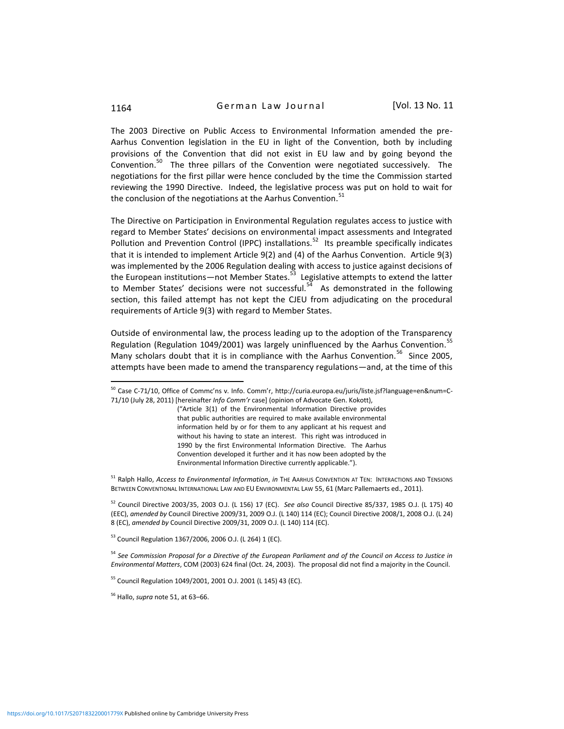1164 **German Law Journal** [Vol. 13 No. 11

The 2003 Directive on Public Access to Environmental Information amended the pre-Aarhus Convention legislation in the EU in light of the Convention, both by including provisions of the Convention that did not exist in EU law and by going beyond the Convention.<sup>50</sup> The three pillars of the Convention were negotiated successively. The negotiations for the first pillar were hence concluded by the time the Commission started reviewing the 1990 Directive. Indeed, the legislative process was put on hold to wait for the conclusion of the negotiations at the Aarhus Convention.<sup>51</sup>

The Directive on Participation in Environmental Regulation regulates access to justice with regard to Member States' decisions on environmental impact assessments and Integrated Pollution and Prevention Control (IPPC) installations.<sup>52</sup> Its preamble specifically indicates that it is intended to implement Article 9(2) and (4) of the Aarhus Convention. Article 9(3) was implemented by the 2006 Regulation dealing with access to justice against decisions of the European institutions—not Member States.<sup>53</sup> Legislative attempts to extend the latter to Member States' decisions were not successful.<sup>54</sup> As demonstrated in the following section, this failed attempt has not kept the CJEU from adjudicating on the procedural requirements of Article 9(3) with regard to Member States.

Outside of environmental law, the process leading up to the adoption of the Transparency Regulation (Regulation 1049/2001) was largely uninfluenced by the Aarhus Convention.<sup>55</sup> Many scholars doubt that it is in compliance with the Aarhus Convention.<sup>56</sup> Since 2005, attempts have been made to amend the transparency regulations—and, at the time of this

("Article 3(1) of the Environmental Information Directive provides that public authorities are required to make available environmental information held by or for them to any applicant at his request and without his having to state an interest. This right was introduced in 1990 by the first Environmental Information Directive. The Aarhus Convention developed it further and it has now been adopted by the Environmental Information Directive currently applicable.").

<sup>51</sup> Ralph Hallo, *Access to Environmental Information*, *in* THE AARHUS CONVENTION AT TEN: INTERACTIONS AND TENSIONS BETWEEN CONVENTIONAL INTERNATIONAL LAW AND EU ENVIRONMENTAL LAW 55, 61 (Marc Pallemaerts ed., 2011).

<sup>52</sup> Council Directive 2003/35, 2003 O.J. (L 156) 17 (EC). *See also* Council Directive 85/337, 1985 O.J. (L 175) 40 (EEC), *amended by* Council Directive 2009/31, 2009 O.J. (L 140) 114 (EC); Council Directive 2008/1, 2008 O.J. (L 24) 8 (EC), *amended by* Council Directive 2009/31, 2009 O.J. (L 140) 114 (EC).

<sup>53</sup> Council Regulation 1367/2006, 2006 O.J. (L 264) 1 (EC).

<sup>54</sup> *See Commission Proposal for a Directive of the European Parliament and of the Council on Access to Justice in Environmental Matters*, COM (2003) 624 final (Oct. 24, 2003). The proposal did not find a majority in the Council.

<sup>55</sup> Council Regulation 1049/2001, 2001 O.J. 2001 (L 145) 43 (EC).

<sup>56</sup> Hallo, *supra* note 51, at 63–66.

<sup>50</sup> Case C-71/10, Office of Commc'ns v. Info. Comm'r, http://curia.europa.eu/juris/liste.jsf?language=en&num=C-71/10 (July 28, 2011) [hereinafter *Info Comm'r* case] (opinion of Advocate Gen. Kokott),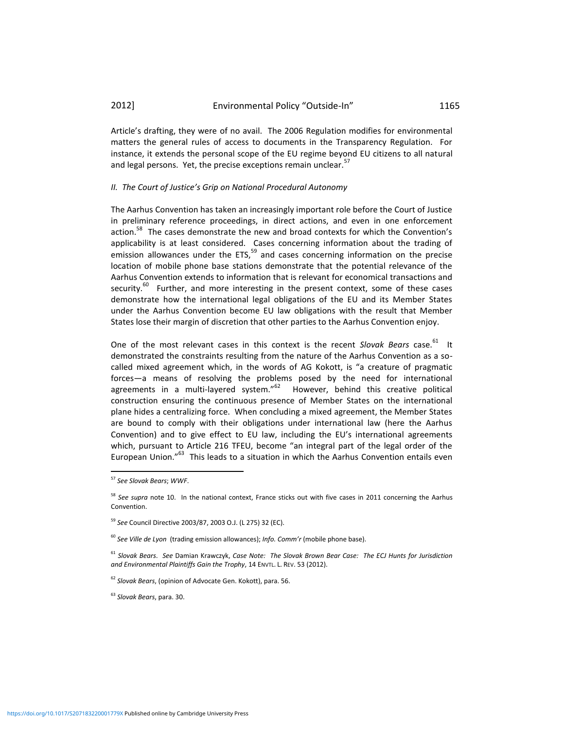Article's drafting, they were of no avail. The 2006 Regulation modifies for environmental matters the general rules of access to documents in the Transparency Regulation. For instance, it extends the personal scope of the EU regime beyond EU citizens to all natural and legal persons. Yet, the precise exceptions remain unclear.<sup>57</sup>

#### *II. The Court of Justice's Grip on National Procedural Autonomy*

The Aarhus Convention has taken an increasingly important role before the Court of Justice in preliminary reference proceedings, in direct actions, and even in one enforcement action.<sup>58</sup> The cases demonstrate the new and broad contexts for which the Convention's applicability is at least considered. Cases concerning information about the trading of emission allowances under the  $ETS$ ,<sup>59</sup> and cases concerning information on the precise location of mobile phone base stations demonstrate that the potential relevance of the Aarhus Convention extends to information that is relevant for economical transactions and security.<sup>60</sup> Further, and more interesting in the present context, some of these cases demonstrate how the international legal obligations of the EU and its Member States under the Aarhus Convention become EU law obligations with the result that Member States lose their margin of discretion that other parties to the Aarhus Convention enjoy.

One of the most relevant cases in this context is the recent Slovak Bears case.<sup>61</sup> It demonstrated the constraints resulting from the nature of the Aarhus Convention as a socalled mixed agreement which, in the words of AG Kokott, is "a creature of pragmatic forces—a means of resolving the problems posed by the need for international agreements in a multi-layered system."<sup>62</sup> However, behind this creative political construction ensuring the continuous presence of Member States on the international plane hides a centralizing force. When concluding a mixed agreement, the Member States are bound to comply with their obligations under international law (here the Aarhus Convention) and to give effect to EU law, including the EU's international agreements which, pursuant to Article 216 TFEU, become "an integral part of the legal order of the European Union."<sup>63</sup> This leads to a situation in which the Aarhus Convention entails even

<sup>57</sup> *See Slovak Bears*; *WWF*.

<sup>58</sup> *See supra* note 10. In the national context, France sticks out with five cases in 2011 concerning the Aarhus Convention.

<sup>59</sup> *See* Council Directive 2003/87, 2003 O.J. (L 275) 32 (EC).

<sup>60</sup> *See Ville de Lyon* (trading emission allowances); *Info. Comm'r* (mobile phone base).

<sup>61</sup> *Slovak Bears*. *See* Damian Krawczyk, *Case Note: The Slovak Brown Bear Case: The ECJ Hunts for Jurisdiction and Environmental Plaintiffs Gain the Trophy*, 14 ENVTL. L. REV. 53 (2012).

<sup>62</sup> *Slovak Bears*, (opinion of Advocate Gen. Kokott), para. 56.

<sup>63</sup> *Slovak Bears*, para. 30.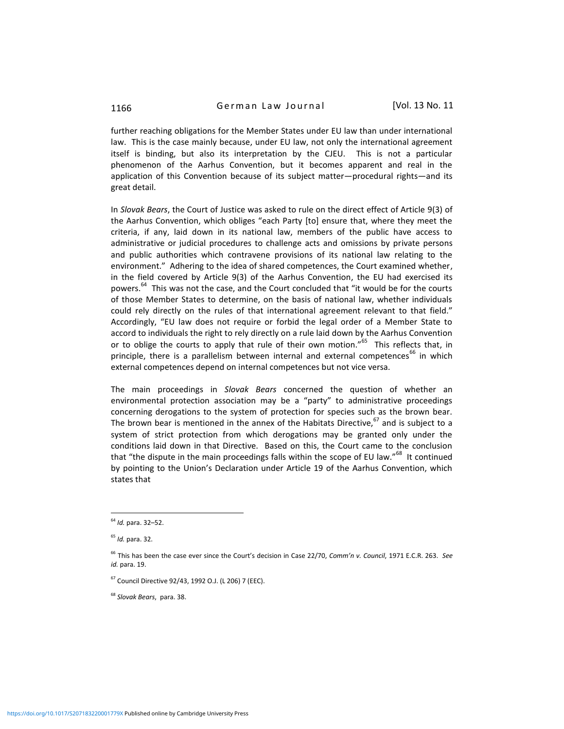further reaching obligations for the Member States under EU law than under international law. This is the case mainly because, under EU law, not only the international agreement itself is binding, but also its interpretation by the CJEU. This is not a particular phenomenon of the Aarhus Convention, but it becomes apparent and real in the application of this Convention because of its subject matter—procedural rights—and its great detail.

In *Slovak Bears*, the Court of Justice was asked to rule on the direct effect of Article 9(3) of the Aarhus Convention, which obliges "each Party [to] ensure that, where they meet the criteria, if any, laid down in its national law, members of the public have access to administrative or judicial procedures to challenge acts and omissions by private persons and public authorities which contravene provisions of its national law relating to the environment." Adhering to the idea of shared competences, the Court examined whether, in the field covered by Article 9(3) of the Aarhus Convention, the EU had exercised its powers.<sup>64</sup> This was not the case, and the Court concluded that "it would be for the courts of those Member States to determine, on the basis of national law, whether individuals could rely directly on the rules of that international agreement relevant to that field." Accordingly, "EU law does not require or forbid the legal order of a Member State to accord to individuals the right to rely directly on a rule laid down by the Aarhus Convention or to oblige the courts to apply that rule of their own motion."<sup>65</sup> This reflects that, in principle, there is a parallelism between internal and external competences<sup>66</sup> in which external competences depend on internal competences but not vice versa.

The main proceedings in *Slovak Bears* concerned the question of whether an environmental protection association may be a "party" to administrative proceedings concerning derogations to the system of protection for species such as the brown bear. The brown bear is mentioned in the annex of the Habitats Directive, $67$  and is subject to a system of strict protection from which derogations may be granted only under the conditions laid down in that Directive. Based on this, the Court came to the conclusion that "the dispute in the main proceedings falls within the scope of EU law."<sup>68</sup> It continued by pointing to the Union's Declaration under Article 19 of the Aarhus Convention, which states that

<sup>64</sup> *Id.* para. 32–52.

<sup>65</sup> *Id.* para. 32.

<sup>66</sup> This has been the case ever since the Court's decision in Case 22/70, *Comm'n v. Council*, 1971 E.C.R. 263. *See id.* para. 19.

<sup>67</sup> Council Directive 92/43, 1992 O.J. (L 206) 7 (EEC).

<sup>68</sup> *Slovak Bears*, para. 38.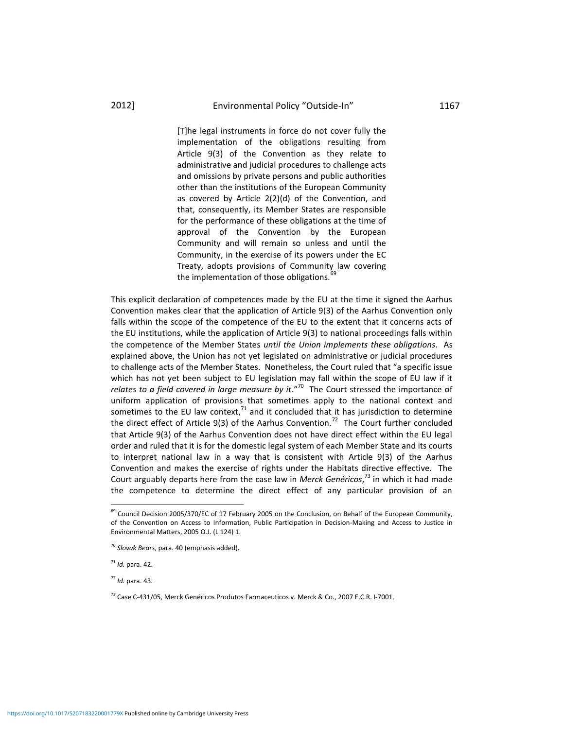[T]he legal instruments in force do not cover fully the implementation of the obligations resulting from Article 9(3) of the Convention as they relate to administrative and judicial procedures to challenge acts and omissions by private persons and public authorities other than the institutions of the European Community as covered by Article 2(2)(d) of the Convention, and that, consequently, its Member States are responsible for the performance of these obligations at the time of approval of the Convention by the European Community and will remain so unless and until the Community, in the exercise of its powers under the EC Treaty, adopts provisions of Community law covering the implementation of those obligations.<sup>6</sup>

This explicit declaration of competences made by the EU at the time it signed the Aarhus Convention makes clear that the application of Article 9(3) of the Aarhus Convention only falls within the scope of the competence of the EU to the extent that it concerns acts of the EU institutions, while the application of Article 9(3) to national proceedings falls within the competence of the Member States *until the Union implements these obligations*. As explained above, the Union has not yet legislated on administrative or judicial procedures to challenge acts of the Member States. Nonetheless, the Court ruled that "a specific issue which has not yet been subject to EU legislation may fall within the scope of EU law if it *relates to a field covered in large measure by it*."<sup>70</sup> The Court stressed the importance of uniform application of provisions that sometimes apply to the national context and sometimes to the EU law context, $^{71}$  and it concluded that it has jurisdiction to determine the direct effect of Article 9(3) of the Aarhus Convention.<sup>72</sup> The Court further concluded that Article 9(3) of the Aarhus Convention does not have direct effect within the EU legal order and ruled that it is for the domestic legal system of each Member State and its courts to interpret national law in a way that is consistent with Article 9(3) of the Aarhus Convention and makes the exercise of rights under the Habitats directive effective. The Court arguably departs here from the case law in *Merck Genéricos*, <sup>73</sup> in which it had made the competence to determine the direct effect of any particular provision of an

l

<sup>72</sup> *Id.* para. 43.

<sup>&</sup>lt;sup>69</sup> Council Decision 2005/370/EC of 17 February 2005 on the Conclusion, on Behalf of the European Community, of the Convention on Access to Information, Public Participation in Decision-Making and Access to Justice in Environmental Matters, 2005 O.J. (L 124) 1.

<sup>70</sup> *Slovak Bears*, para. 40 (emphasis added).

 $71$  *Id.* para, 42.

<sup>73</sup> Case C-431/05, Merck Genéricos Produtos Farmaceuticos v. Merck & Co., 2007 E.C.R. I‐7001.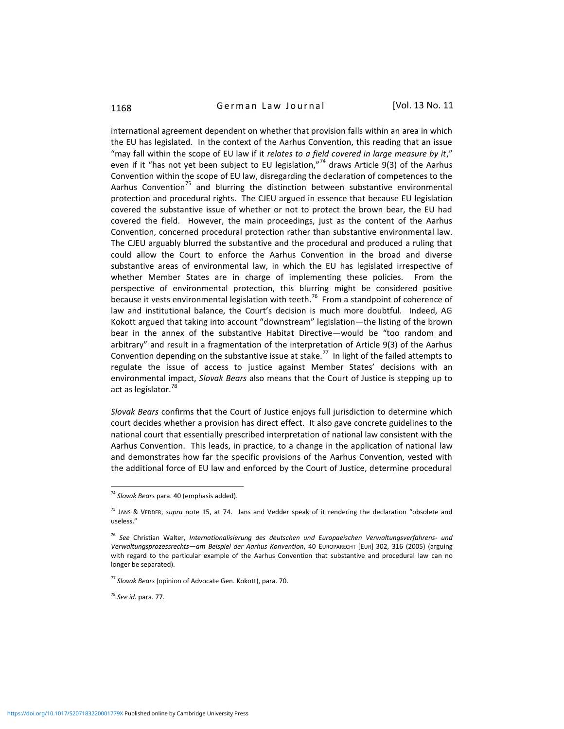# 1168 **German Law Journal** [Vol. 13 No. 11

international agreement dependent on whether that provision falls within an area in which the EU has legislated. In the context of the Aarhus Convention, this reading that an issue "may fall within the scope of EU law if it *relates to a field covered in large measure by it*," even if it "has not yet been subject to EU legislation,"<sup>74</sup> draws Article 9(3) of the Aarhus Convention within the scope of EU law, disregarding the declaration of competences to the Aarhus Convention<sup>75</sup> and blurring the distinction between substantive environmental protection and procedural rights. The CJEU argued in essence that because EU legislation covered the substantive issue of whether or not to protect the brown bear, the EU had covered the field. However, the main proceedings, just as the content of the Aarhus Convention, concerned procedural protection rather than substantive environmental law. The CJEU arguably blurred the substantive and the procedural and produced a ruling that could allow the Court to enforce the Aarhus Convention in the broad and diverse substantive areas of environmental law, in which the EU has legislated irrespective of whether Member States are in charge of implementing these policies. From the perspective of environmental protection, this blurring might be considered positive because it vests environmental legislation with teeth.<sup>76</sup> From a standpoint of coherence of law and institutional balance, the Court's decision is much more doubtful. Indeed, AG Kokott argued that taking into account "downstream" legislation—the listing of the brown bear in the annex of the substantive Habitat Directive—would be "too random and arbitrary" and result in a fragmentation of the interpretation of Article 9(3) of the Aarhus Convention depending on the substantive issue at stake.<sup>77</sup> In light of the failed attempts to regulate the issue of access to justice against Member States' decisions with an environmental impact, *Slovak Bears* also means that the Court of Justice is stepping up to act as legislator.<sup>78</sup>

*Slovak Bears* confirms that the Court of Justice enjoys full jurisdiction to determine which court decides whether a provision has direct effect. It also gave concrete guidelines to the national court that essentially prescribed interpretation of national law consistent with the Aarhus Convention. This leads, in practice, to a change in the application of national law and demonstrates how far the specific provisions of the Aarhus Convention, vested with the additional force of EU law and enforced by the Court of Justice, determine procedural

<sup>78</sup> *See id.* para. 77.

<sup>74</sup> *Slovak Bears* para. 40 (emphasis added).

<sup>75</sup> JANS & VEDDER, *supra* note 15, at 74. Jans and Vedder speak of it rendering the declaration "obsolete and useless."

<sup>76</sup> *See* Christian Walter, *Internationalisierung des deutschen und Europaeischen Verwaltungsverfahrens- und Verwaltungsprozessrechts—am Beispiel der Aarhus Konvention*, 40 EUROPARECHT [EUR] 302, 316 (2005) (arguing with regard to the particular example of the Aarhus Convention that substantive and procedural law can no longer be separated).

<sup>77</sup> *Slovak Bears* (opinion of Advocate Gen. Kokott), para. 70.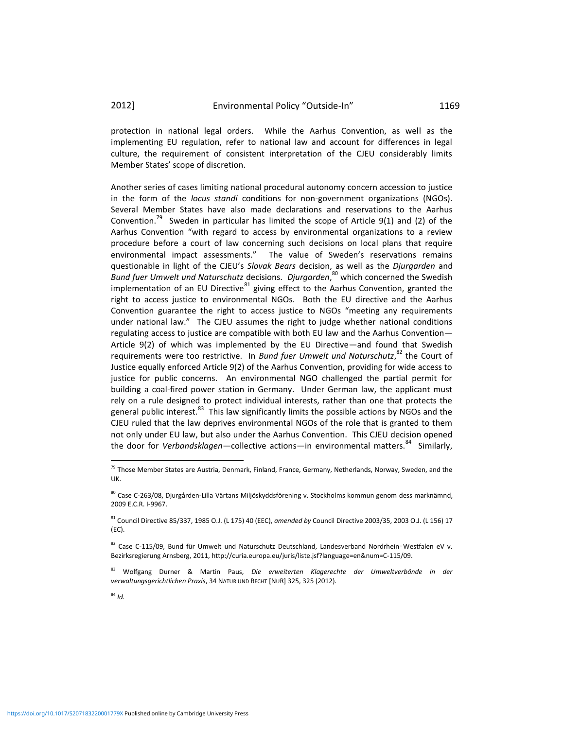protection in national legal orders. While the Aarhus Convention, as well as the implementing EU regulation, refer to national law and account for differences in legal culture, the requirement of consistent interpretation of the CJEU considerably limits Member States' scope of discretion.

Another series of cases limiting national procedural autonomy concern accession to justice in the form of the *locus standi* conditions for non-government organizations (NGOs). Several Member States have also made declarations and reservations to the Aarhus Convention.<sup>79</sup> Sweden in particular has limited the scope of Article  $9(1)$  and (2) of the Aarhus Convention "with regard to access by environmental organizations to a review procedure before a court of law concerning such decisions on local plans that require environmental impact assessments." The value of Sweden's reservations remains questionable in light of the CJEU's *Slovak Bears* decision, as well as the *Djurgarden* and *Bund fuer Umwelt und Naturschutz* decisions. *Djurgarden*, <sup>80</sup> which concerned the Swedish implementation of an EU Directive<sup>81</sup> giving effect to the Aarhus Convention, granted the right to access justice to environmental NGOs. Both the EU directive and the Aarhus Convention guarantee the right to access justice to NGOs "meeting any requirements under national law." The CJEU assumes the right to judge whether national conditions regulating access to justice are compatible with both EU law and the Aarhus Convention— Article 9(2) of which was implemented by the EU Directive—and found that Swedish requirements were too restrictive. In *Bund fuer Umwelt und Naturschutz*, <sup>82</sup> the Court of Justice equally enforced Article 9(2) of the Aarhus Convention, providing for wide access to justice for public concerns. An environmental NGO challenged the partial permit for building a coal-fired power station in Germany. Under German law, the applicant must rely on a rule designed to protect individual interests, rather than one that protects the general public interest.<sup>83</sup> This law significantly limits the possible actions by NGOs and the CJEU ruled that the law deprives environmental NGOs of the role that is granted to them not only under EU law, but also under the Aarhus Convention. This CJEU decision opened the door for *Verbandsklagen*—collective actions—in environmental matters.<sup>84</sup> Similarly,

<sup>84</sup> *Id.*

 $\overline{a}$ 

<sup>&</sup>lt;sup>79</sup> Those Member States are Austria, Denmark, Finland, France, Germany, Netherlands, Norway, Sweden, and the UK.

<sup>80</sup> Case C-263/08, Djurgården-Lilla Värtans Miljöskyddsförening v. Stockholms kommun genom dess marknämnd, 2009 E.C.R. I-9967.

<sup>81</sup> Council Directive 85/337, 1985 O.J. (L 175) 40 (EEC), *amended by* Council Directive 2003/35, 2003 O.J. (L 156) 17 (EC).

<sup>82</sup> Case C-115/09, Bund für Umwelt und Naturschutz Deutschland, Landesverband Nordrhein-Westfalen eV v. Bezirksregierung Arnsberg, 2011, http://curia.europa.eu/juris/liste.jsf?language=en&num=C-115/09.

<sup>83</sup> Wolfgang Durner & Martin Paus, *Die erweiterten Klagerechte der Umweltverbände in der verwaltungsgerichtlichen Praxis*, 34 NATUR UND RECHT [NUR] 325, 325 (2012).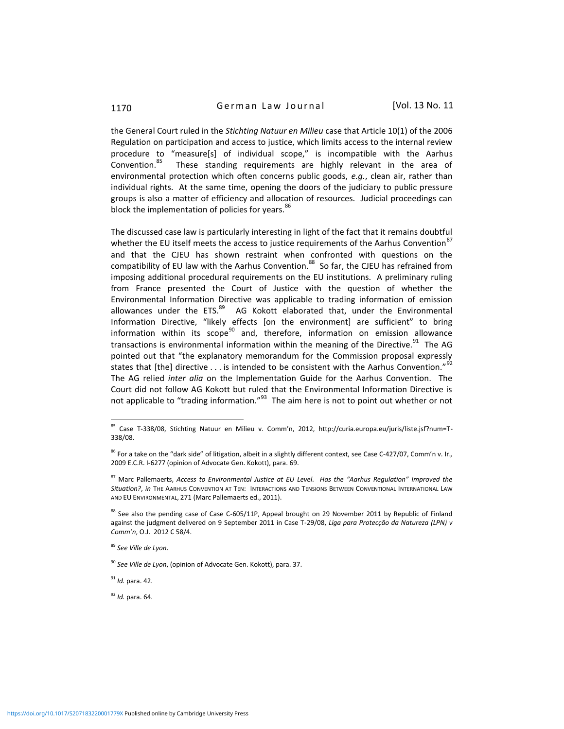1170 **German Law Journal** [Vol. 13 No. 11]

the General Court ruled in the *Stichting Natuur en Milieu* case that Article 10(1) of the 2006 Regulation on participation and access to justice, which limits access to the internal review procedure to "measure[s] of individual scope," is incompatible with the Aarhus Convention.<sup>85</sup> These standing requirements are highly relevant in the area of environmental protection which often concerns public goods, *e.g.*, clean air, rather than individual rights. At the same time, opening the doors of the judiciary to public pressure groups is also a matter of efficiency and allocation of resources. Judicial proceedings can block the implementation of policies for years.<sup>86</sup>

The discussed case law is particularly interesting in light of the fact that it remains doubtful whether the EU itself meets the access to justice requirements of the Aarhus Convention<sup>8</sup> and that the CJEU has shown restraint when confronted with questions on the compatibility of EU law with the Aarhus Convention. $^{88}$  So far, the CJEU has refrained from imposing additional procedural requirements on the EU institutions. A preliminary ruling from France presented the Court of Justice with the question of whether the Environmental Information Directive was applicable to trading information of emission allowances under the ETS.<sup>89</sup> AG Kokott elaborated that, under the Environmental Information Directive, "likely effects [on the environment] are sufficient" to bring information within its scope $90$  and, therefore, information on emission allowance transactions is environmental information within the meaning of the Directive.<sup>91</sup> The AG pointed out that "the explanatory memorandum for the Commission proposal expressly states that [the] directive  $\dots$  is intended to be consistent with the Aarhus Convention."<sup>92</sup> The AG relied *inter alia* on the Implementation Guide for the Aarhus Convention. The Court did not follow AG Kokott but ruled that the Environmental Information Directive is not applicable to "trading information."<sup>93</sup> The aim here is not to point out whether or not

<sup>91</sup> *Id.* para. 42.

l

<sup>92</sup> *Id.* para. 64.

<sup>85</sup> Case T-338/08, Stichting Natuur en Milieu v. Comm'n, 2012, http://curia.europa.eu/juris/liste.jsf?num=T-338/08.

<sup>86</sup> For a take on the "dark side" of litigation, albeit in a slightly different context, see Case C-427/07, Comm'n v. Ir.*,* 2009 E.C.R. I-6277 (opinion of Advocate Gen. Kokott), para. 69.

<sup>87</sup> Marc Pallemaerts, *Access to Environmental Justice at EU Level. Has the "Aarhus Regulation" Improved the Situation?*, *in* THE AARHUS CONVENTION AT TEN: INTERACTIONS AND TENSIONS BETWEEN CONVENTIONAL INTERNATIONAL LAW AND EU ENVIRONMENTAL, 271 (Marc Pallemaerts ed., 2011).

<sup>88</sup> See also the pending case of Case C-605/11P, Appeal brought on 29 November 2011 by Republic of Finland against the judgment delivered on 9 September 2011 in Case T-29/08, *Liga para Protecção da Natureza (LPN) v Comm'n*, O.J. 2012 C 58/4.

<sup>89</sup> *See Ville de Lyon*.

<sup>90</sup> *See Ville de Lyon*, (opinion of Advocate Gen. Kokott), para. 37.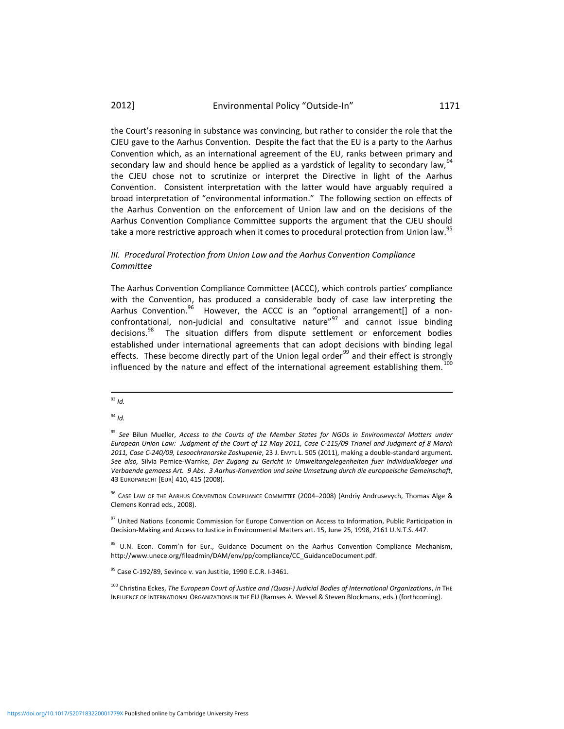the Court's reasoning in substance was convincing, but rather to consider the role that the CJEU gave to the Aarhus Convention. Despite the fact that the EU is a party to the Aarhus Convention which, as an international agreement of the EU, ranks between primary and secondary law and should hence be applied as a yardstick of legality to secondary law,  $94$ the CJEU chose not to scrutinize or interpret the Directive in light of the Aarhus Convention. Consistent interpretation with the latter would have arguably required a broad interpretation of "environmental information." The following section on effects of the Aarhus Convention on the enforcement of Union law and on the decisions of the Aarhus Convention Compliance Committee supports the argument that the CJEU should take a more restrictive approach when it comes to procedural protection from Union law.<sup>95</sup>

# *III. Procedural Protection from Union Law and the Aarhus Convention Compliance Committee*

The Aarhus Convention Compliance Committee (ACCC), which controls parties' compliance with the Convention, has produced a considerable body of case law interpreting the Aarhus Convention.<sup>96</sup> However, the ACCC is an "optional arrangement[] of a nonconfrontational, non-judicial and consultative nature" $97$  and cannot issue binding decisions.<sup>98</sup> The situation differs from dispute settlement or enforcement bodies established under international agreements that can adopt decisions with binding legal effects. These become directly part of the Union legal order<sup>99</sup> and their effect is strongly influenced by the nature and effect of the international agreement establishing them.<sup>1</sup>

l <sup>93</sup> *Id.*

<sup>94</sup> *Id.*

 $99$  Case C-192/89, Sevince v. van Justitie, 1990 E.C.R. I-3461.

<sup>&</sup>lt;sup>95</sup> See Bilun Mueller, *Access to the Courts of the Member States for NGOs in Environmental Matters under European Union Law: Judgment of the Court of 12 May 2011, Case C-115/09 Trianel and Judgment of 8 March 2011, Case C-240/09, Lesoochranarske Zoskupenie*, 23 J. ENVTL L. 505 (2011), making a double-standard argument. *See also,* Silvia Pernice-Warnke, *Der Zugang zu Gericht in Umweltangelegenheiten fuer Individualklaeger und Verbaende gemaess Art. 9 Abs. 3 Aarhus-Konvention und seine Umsetzung durch die europaeische Gemeinschaft*, 43 EUROPARECHT [EUR] 410, 415 (2008).

<sup>&</sup>lt;sup>96</sup> CASE LAW OF THE AARHUS CONVENTION COMPLIANCE COMMITTEE (2004–2008) (Andriy Andrusevych, Thomas Alge & Clemens Konrad eds., 2008).

<sup>&</sup>lt;sup>97</sup> United Nations Economic Commission for Europe Convention on Access to Information, Public Participation in Decision-Making and Access to Justice in Environmental Matters art. 15, June 25, 1998, 2161 U.N.T.S. 447.

<sup>98</sup> U.N. Econ. Comm'n for Eur., Guidance Document on the Aarhus Convention Compliance Mechanism, http://www.unece.org/fileadmin/DAM/env/pp/compliance/CC\_GuidanceDocument.pdf.

<sup>100</sup> Christina Eckes, *The European Court of Justice and (Quasi‐) Judicial Bodies of International Organizations*, *in* THE INFLUENCE OF INTERNATIONAL ORGANIZATIONS IN THE EU (Ramses A. Wessel & Steven Blockmans, eds.) (forthcoming).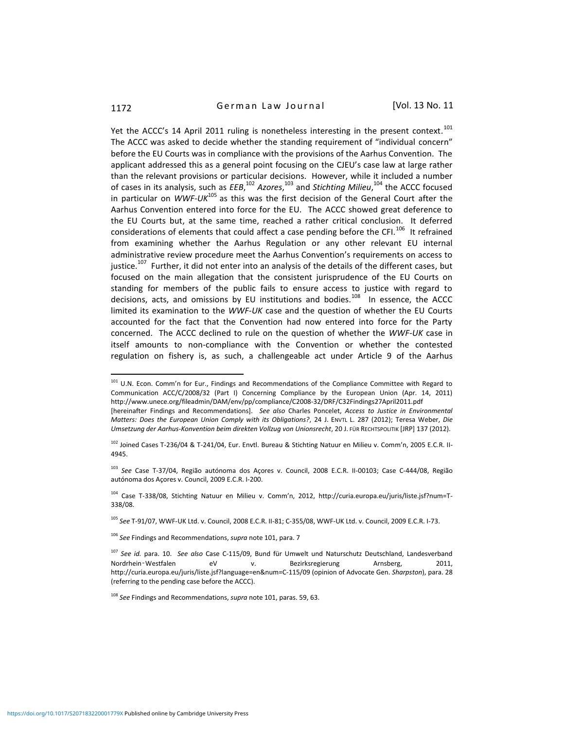l

# 1172 **German Law Journal** [Vol. 13 No. 11

Yet the ACCC's 14 April 2011 ruling is nonetheless interesting in the present context.<sup>101</sup> The ACCC was asked to decide whether the standing requirement of "individual concern" before the EU Courts was in compliance with the provisions of the Aarhus Convention. The applicant addressed this as a general point focusing on the CJEU's case law at large rather than the relevant provisions or particular decisions. However, while it included a number of cases in its analysis, such as *EEB*, <sup>102</sup> *Azores*, <sup>103</sup> and *Stichting Milieu*, <sup>104</sup> the ACCC focused in particular on *WWF-UK*<sup>105</sup> as this was the first decision of the General Court after the Aarhus Convention entered into force for the EU. The ACCC showed great deference to the EU Courts but, at the same time, reached a rather critical conclusion. It deferred considerations of elements that could affect a case pending before the CFI.<sup>106</sup> It refrained from examining whether the Aarhus Regulation or any other relevant EU internal administrative review procedure meet the Aarhus Convention's requirements on access to justice.<sup>107</sup> Further, it did not enter into an analysis of the details of the different cases, but focused on the main allegation that the consistent jurisprudence of the EU Courts on standing for members of the public fails to ensure access to justice with regard to decisions, acts, and omissions by EU institutions and bodies.<sup>108</sup> In essence, the ACCC limited its examination to the *WWF-UK* case and the question of whether the EU Courts accounted for the fact that the Convention had now entered into force for the Party concerned. The ACCC declined to rule on the question of whether the *WWF-UK* case in itself amounts to non-compliance with the Convention or whether the contested regulation on fishery is, as such, a challengeable act under Article 9 of the Aarhus

<sup>&</sup>lt;sup>101</sup> U.N. Econ. Comm'n for Eur., Findings and Recommendations of the Compliance Committee with Regard to Communication ACC/C/2008/32 (Part I) Concerning Compliance by the European Union (Apr. 14, 2011) http://www.unece.org/fileadmin/DAM/env/pp/compliance/C2008-32/DRF/C32Findings27April2011.pdf

<sup>[</sup>hereinafter Findings and Recommendations]. *See also* Charles Poncelet, *Access to Justice in Environmental Matters: Does the European Union Comply with its Obligations?*, 24 J. ENVTL L. 287 (2012); Teresa Weber, *Die Umsetzung der Aarhus-Konvention beim direkten Vollzug von Unionsrecht*, 20 J. FÜR RECHTSPOLITIK [JRP] 137 (2012).

<sup>102</sup> Joined Cases T-236/04 & T-241/04, Eur. Envtl. Bureau & Stichting Natuur en Milieu v. Comm'n, 2005 E.C.R. II-4945.

<sup>103</sup> *See* Case T-37/04, Região autónoma dos Açores v. Council, 2008 E.C.R. II-00103; Case C-444/08, Região autónoma dos Açores v. Council, 2009 E.C.R. I-200.

<sup>104</sup> Case T-338/08, Stichting Natuur en Milieu v. Comm'n, 2012, http://curia.europa.eu/juris/liste.jsf?num=T-338/08.

<sup>105</sup> *See* T-91/07, WWF-UK Ltd. v. Council, 2008 E.C.R. II-81; C-355/08, WWF-UK Ltd. v. Council, 2009 E.C.R. I-73.

<sup>106</sup> *See* Findings and Recommendations, *supra* note 101, para. 7

<sup>107</sup> *See id.* para. 10. *See also* Case C-115/09, Bund für Umwelt und Naturschutz Deutschland, Landesverband Nordrhein‑Westfalen eV v. Bezirksregierung Arnsberg, 2011, http://curia.europa.eu/juris/liste.jsf?language=en&num=C-115/09 (opinion of Advocate Gen. *Sharpston*), para. 28 (referring to the pending case before the ACCC).

<sup>108</sup> *See* Findings and Recommendations, *supra* note 101, paras. 59, 63.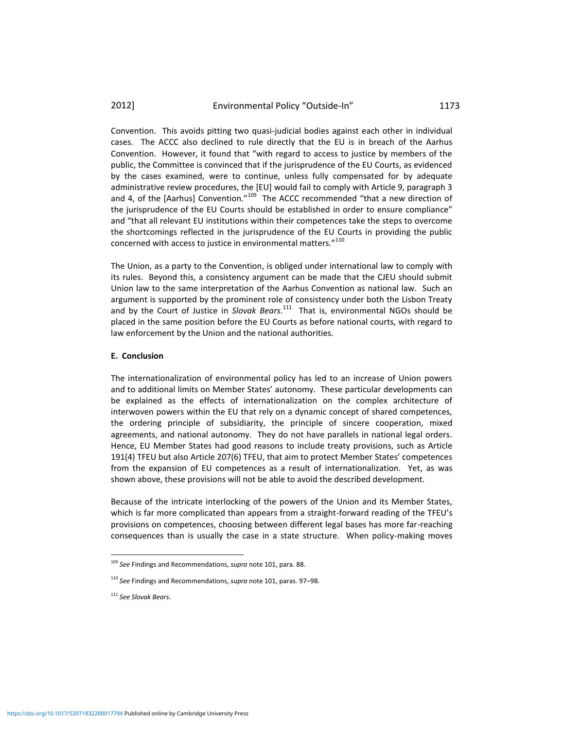Convention. This avoids pitting two quasi-judicial bodies against each other in individual cases. The ACCC also declined to rule directly that the EU is in breach of the Aarhus Convention. However, it found that "with regard to access to justice by members of the public, the Committee is convinced that if the jurisprudence of the EU Courts, as evidenced by the cases examined, were to continue, unless fully compensated for by adequate administrative review procedures, the [EU] would fail to comply with Article 9, paragraph 3 and 4, of the [Aarhus] Convention."<sup>109</sup> The ACCC recommended "that a new direction of the jurisprudence of the EU Courts should be established in order to ensure compliance" and "that all relevant EU institutions within their competences take the steps to overcome the shortcomings reflected in the jurisprudence of the EU Courts in providing the public concerned with access to justice in environmental matters. $''^{110}$ 

The Union, as a party to the Convention, is obliged under international law to comply with its rules. Beyond this, a consistency argument can be made that the CJEU should submit Union law to the same interpretation of the Aarhus Convention as national law. Such an argument is supported by the prominent role of consistency under both the Lisbon Treaty and by the Court of Justice in *Slovak Bears*. 111 That is, environmental NGOs should be placed in the same position before the EU Courts as before national courts, with regard to law enforcement by the Union and the national authorities.

#### **E. Conclusion**

The internationalization of environmental policy has led to an increase of Union powers and to additional limits on Member States' autonomy. These particular developments can be explained as the effects of internationalization on the complex architecture of interwoven powers within the EU that rely on a dynamic concept of shared competences, the ordering principle of subsidiarity, the principle of sincere cooperation, mixed agreements, and national autonomy. They do not have parallels in national legal orders. Hence, EU Member States had good reasons to include treaty provisions, such as Article 191(4) TFEU but also Article 207(6) TFEU, that aim to protect Member States' competences from the expansion of EU competences as a result of internationalization. Yet, as was shown above, these provisions will not be able to avoid the described development.

Because of the intricate interlocking of the powers of the Union and its Member States, which is far more complicated than appears from a straight-forward reading of the TFEU's provisions on competences, choosing between different legal bases has more far-reaching consequences than is usually the case in a state structure. When policy-making moves

<sup>109</sup> *See* Findings and Recommendations, *supra* note 101, para. 88.

<sup>110</sup> *See* Findings and Recommendations, *supra* note 101, paras. 97–98.

<sup>111</sup> *See Slovak Bears*.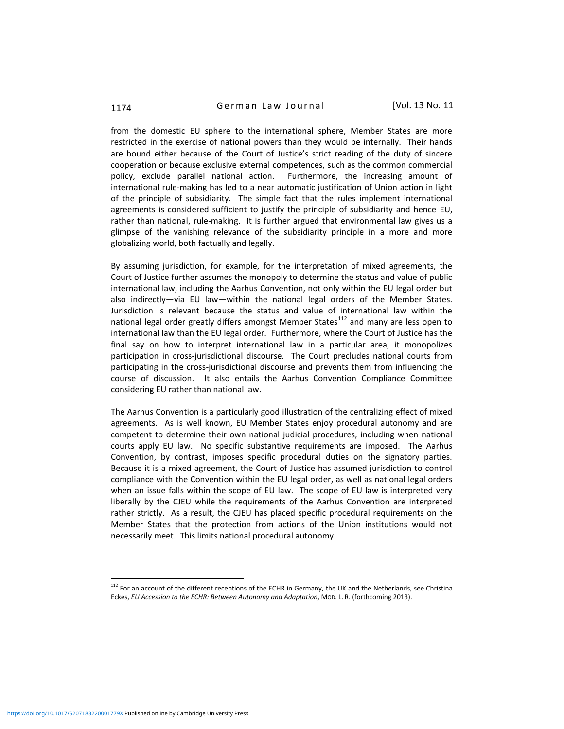1174 **German Law Journal** [Vol. 13 No. 11]

from the domestic EU sphere to the international sphere, Member States are more restricted in the exercise of national powers than they would be internally. Their hands are bound either because of the Court of Justice's strict reading of the duty of sincere cooperation or because exclusive external competences, such as the common commercial policy, exclude parallel national action. Furthermore, the increasing amount of international rule-making has led to a near automatic justification of Union action in light of the principle of subsidiarity. The simple fact that the rules implement international agreements is considered sufficient to justify the principle of subsidiarity and hence EU, rather than national, rule-making. It is further argued that environmental law gives us a glimpse of the vanishing relevance of the subsidiarity principle in a more and more globalizing world, both factually and legally.

By assuming jurisdiction, for example, for the interpretation of mixed agreements, the Court of Justice further assumes the monopoly to determine the status and value of public international law, including the Aarhus Convention, not only within the EU legal order but also indirectly—via EU law—within the national legal orders of the Member States. Jurisdiction is relevant because the status and value of international law within the national legal order greatly differs amongst Member States $^{112}$  and many are less open to international law than the EU legal order. Furthermore, where the Court of Justice has the final say on how to interpret international law in a particular area, it monopolizes participation in cross-jurisdictional discourse. The Court precludes national courts from participating in the cross-jurisdictional discourse and prevents them from influencing the course of discussion. It also entails the Aarhus Convention Compliance Committee considering EU rather than national law.

The Aarhus Convention is a particularly good illustration of the centralizing effect of mixed agreements. As is well known, EU Member States enjoy procedural autonomy and are competent to determine their own national judicial procedures, including when national courts apply EU law. No specific substantive requirements are imposed. The Aarhus Convention, by contrast, imposes specific procedural duties on the signatory parties. Because it is a mixed agreement, the Court of Justice has assumed jurisdiction to control compliance with the Convention within the EU legal order, as well as national legal orders when an issue falls within the scope of EU law. The scope of EU law is interpreted very liberally by the CJEU while the requirements of the Aarhus Convention are interpreted rather strictly. As a result, the CJEU has placed specific procedural requirements on the Member States that the protection from actions of the Union institutions would not necessarily meet. This limits national procedural autonomy.

 $112$  For an account of the different receptions of the ECHR in Germany, the UK and the Netherlands, see Christina Eckes, *EU Accession to the ECHR: Between Autonomy and Adaptation*, MOD. L. R. (forthcoming 2013).